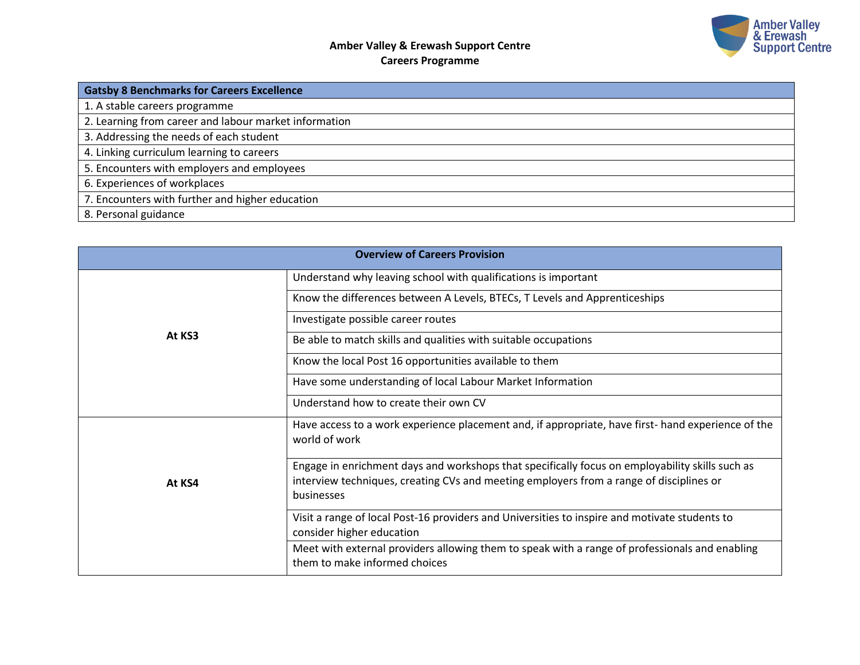

| <b>Gatsby 8 Benchmarks for Careers Excellence</b>     |  |  |
|-------------------------------------------------------|--|--|
| 1. A stable careers programme                         |  |  |
| 2. Learning from career and labour market information |  |  |
| 3. Addressing the needs of each student               |  |  |
| 4. Linking curriculum learning to careers             |  |  |
| 5. Encounters with employers and employees            |  |  |
| 6. Experiences of workplaces                          |  |  |
| 7. Encounters with further and higher education       |  |  |
| 8. Personal guidance                                  |  |  |

| <b>Overview of Careers Provision</b> |                                                                                                                                                                                                          |  |  |
|--------------------------------------|----------------------------------------------------------------------------------------------------------------------------------------------------------------------------------------------------------|--|--|
|                                      | Understand why leaving school with qualifications is important                                                                                                                                           |  |  |
|                                      | Know the differences between A Levels, BTECs, T Levels and Apprenticeships                                                                                                                               |  |  |
|                                      | Investigate possible career routes                                                                                                                                                                       |  |  |
| At KS3                               | Be able to match skills and qualities with suitable occupations                                                                                                                                          |  |  |
|                                      | Know the local Post 16 opportunities available to them                                                                                                                                                   |  |  |
|                                      | Have some understanding of local Labour Market Information                                                                                                                                               |  |  |
|                                      | Understand how to create their own CV                                                                                                                                                                    |  |  |
|                                      | Have access to a work experience placement and, if appropriate, have first- hand experience of the<br>world of work                                                                                      |  |  |
| At KS4                               | Engage in enrichment days and workshops that specifically focus on employability skills such as<br>interview techniques, creating CVs and meeting employers from a range of disciplines or<br>businesses |  |  |
|                                      | Visit a range of local Post-16 providers and Universities to inspire and motivate students to<br>consider higher education                                                                               |  |  |
|                                      | Meet with external providers allowing them to speak with a range of professionals and enabling<br>them to make informed choices                                                                          |  |  |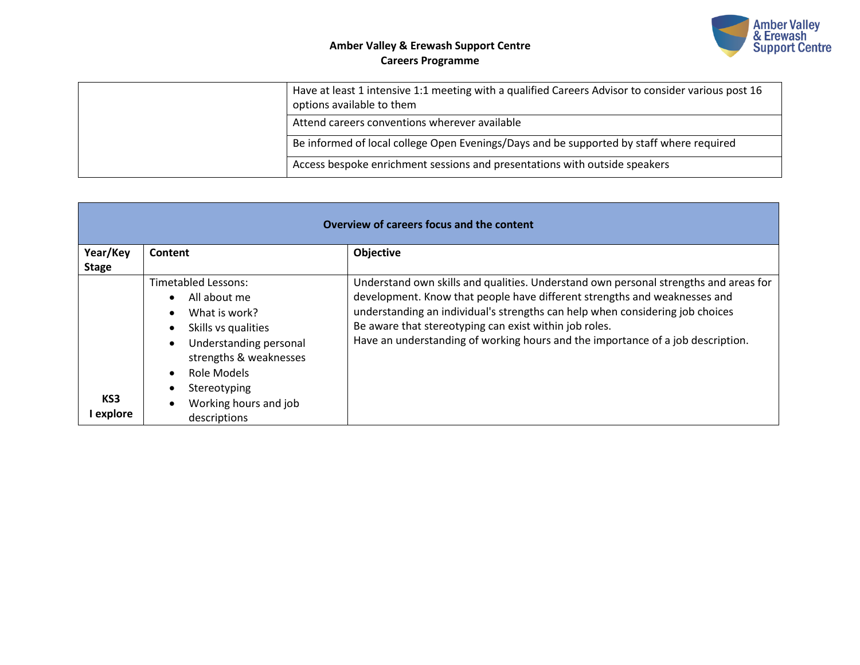

|  | Have at least 1 intensive 1:1 meeting with a qualified Careers Advisor to consider various post 16<br>options available to them |
|--|---------------------------------------------------------------------------------------------------------------------------------|
|  | Attend careers conventions wherever available                                                                                   |
|  | Be informed of local college Open Evenings/Days and be supported by staff where required                                        |
|  | Access bespoke enrichment sessions and presentations with outside speakers                                                      |

| Overview of careers focus and the content |                                                                                                                                                                                         |                                                                                                                                                                                                                                                                                                                                                                                                 |  |
|-------------------------------------------|-----------------------------------------------------------------------------------------------------------------------------------------------------------------------------------------|-------------------------------------------------------------------------------------------------------------------------------------------------------------------------------------------------------------------------------------------------------------------------------------------------------------------------------------------------------------------------------------------------|--|
| Year/Key                                  | Content                                                                                                                                                                                 | <b>Objective</b>                                                                                                                                                                                                                                                                                                                                                                                |  |
| <b>Stage</b><br>KS3                       | Timetabled Lessons:<br>All about me<br>What is work?<br>Skills vs qualities<br>Understanding personal<br>strengths & weaknesses<br>Role Models<br>Stereotyping<br>Working hours and job | Understand own skills and qualities. Understand own personal strengths and areas for<br>development. Know that people have different strengths and weaknesses and<br>understanding an individual's strengths can help when considering job choices<br>Be aware that stereotyping can exist within job roles.<br>Have an understanding of working hours and the importance of a job description. |  |
| l explore                                 | descriptions                                                                                                                                                                            |                                                                                                                                                                                                                                                                                                                                                                                                 |  |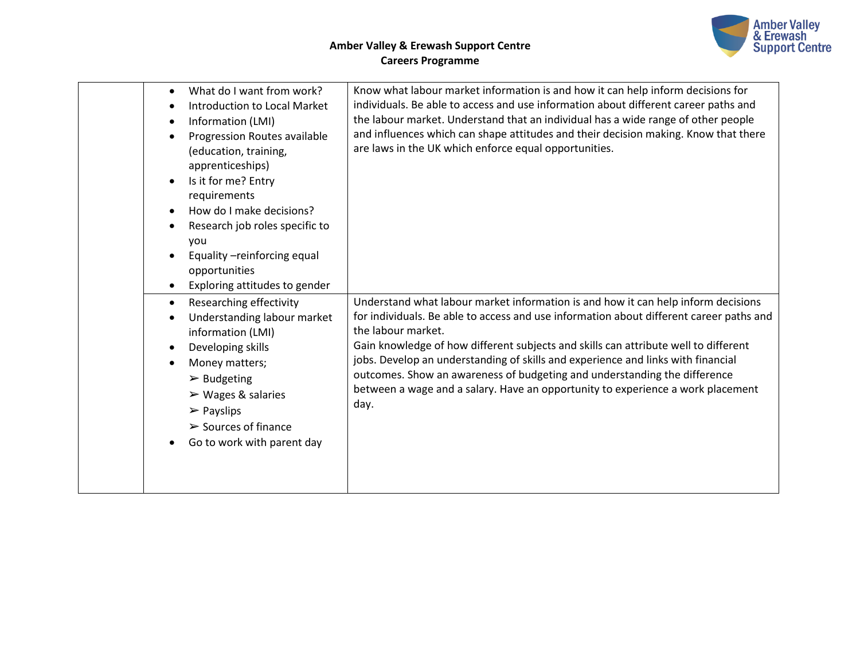

| What do I want from work?<br>$\bullet$<br><b>Introduction to Local Market</b><br>$\bullet$<br>Information (LMI)<br>$\bullet$<br>Progression Routes available<br>$\bullet$<br>(education, training,<br>apprenticeships)<br>Is it for me? Entry<br>$\bullet$<br>requirements<br>How do I make decisions?<br>$\bullet$<br>Research job roles specific to<br>$\bullet$<br>you<br>Equality -reinforcing equal<br>$\bullet$<br>opportunities<br>Exploring attitudes to gender<br>Researching effectivity<br>$\bullet$<br>Understanding labour market<br>$\bullet$<br>information (LMI) | Know what labour market information is and how it can help inform decisions for<br>individuals. Be able to access and use information about different career paths and<br>the labour market. Understand that an individual has a wide range of other people<br>and influences which can shape attitudes and their decision making. Know that there<br>are laws in the UK which enforce equal opportunities.<br>Understand what labour market information is and how it can help inform decisions<br>for individuals. Be able to access and use information about different career paths and<br>the labour market. |
|----------------------------------------------------------------------------------------------------------------------------------------------------------------------------------------------------------------------------------------------------------------------------------------------------------------------------------------------------------------------------------------------------------------------------------------------------------------------------------------------------------------------------------------------------------------------------------|-------------------------------------------------------------------------------------------------------------------------------------------------------------------------------------------------------------------------------------------------------------------------------------------------------------------------------------------------------------------------------------------------------------------------------------------------------------------------------------------------------------------------------------------------------------------------------------------------------------------|
| Developing skills<br>$\bullet$<br>Money matters;<br>$\triangleright$ Budgeting<br>$\triangleright$ Wages & salaries<br>$\triangleright$ Payslips<br>$\triangleright$ Sources of finance<br>Go to work with parent day                                                                                                                                                                                                                                                                                                                                                            | Gain knowledge of how different subjects and skills can attribute well to different<br>jobs. Develop an understanding of skills and experience and links with financial<br>outcomes. Show an awareness of budgeting and understanding the difference<br>between a wage and a salary. Have an opportunity to experience a work placement<br>day.                                                                                                                                                                                                                                                                   |